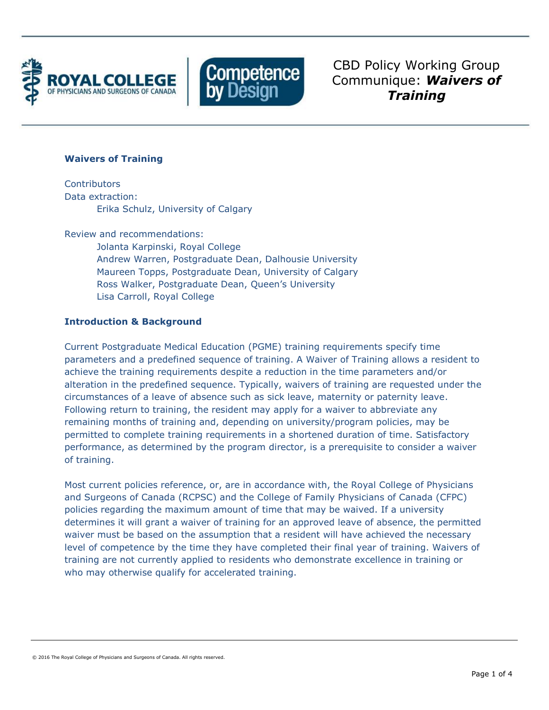



CBD Policy Working Group Communique: *Waivers of Training*

# **Waivers of Training**

**Contributors** Data extraction: Erika Schulz, University of Calgary

Review and recommendations:

Jolanta Karpinski, Royal College Andrew Warren, Postgraduate Dean, Dalhousie University Maureen Topps, Postgraduate Dean, University of Calgary Ross Walker, Postgraduate Dean, Queen's University Lisa Carroll, Royal College

# **Introduction & Background**

Current Postgraduate Medical Education (PGME) training requirements specify time parameters and a predefined sequence of training. A Waiver of Training allows a resident to achieve the training requirements despite a reduction in the time parameters and/or alteration in the predefined sequence. Typically, waivers of training are requested under the circumstances of a leave of absence such as sick leave, maternity or paternity leave. Following return to training, the resident may apply for a waiver to abbreviate any remaining months of training and, depending on university/program policies, may be permitted to complete training requirements in a shortened duration of time. Satisfactory performance, as determined by the program director, is a prerequisite to consider a waiver of training.

Most current policies reference, or, are in accordance with, the Royal College of Physicians and Surgeons of Canada (RCPSC) and the College of Family Physicians of Canada (CFPC) policies regarding the maximum amount of time that may be waived. If a university determines it will grant a waiver of training for an approved leave of absence, the permitted waiver must be based on the assumption that a resident will have achieved the necessary level of competence by the time they have completed their final year of training. Waivers of training are not currently applied to residents who demonstrate excellence in training or who may otherwise qualify for accelerated training.

© 2016 The Royal College of Physicians and Surgeons of Canada. All rights reserved.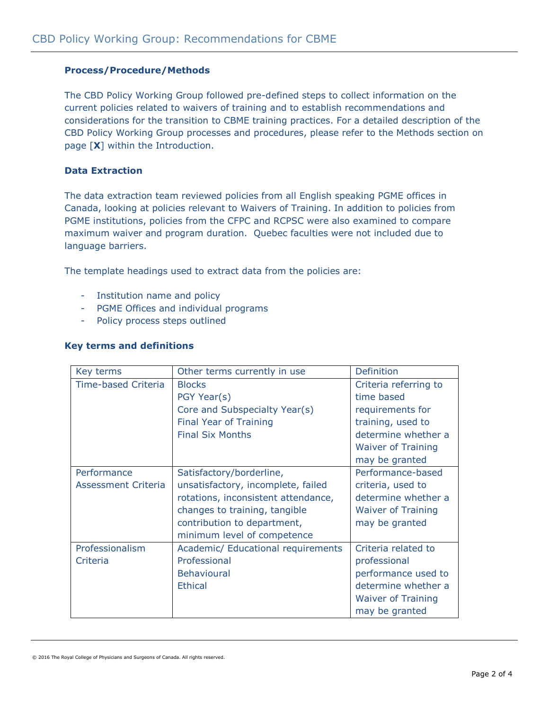# **Process/Procedure/Methods**

The CBD Policy Working Group followed pre-defined steps to collect information on the current policies related to waivers of training and to establish recommendations and considerations for the transition to CBME training practices. For a detailed description of the CBD Policy Working Group processes and procedures, please refer to the Methods section on page [**X**] within the Introduction.

### **Data Extraction**

The data extraction team reviewed policies from all English speaking PGME offices in Canada, looking at policies relevant to Waivers of Training. In addition to policies from PGME institutions, policies from the CFPC and RCPSC were also examined to compare maximum waiver and program duration. Quebec faculties were not included due to language barriers.

The template headings used to extract data from the policies are:

- Institution name and policy
- PGME Offices and individual programs
- Policy process steps outlined

#### **Key terms and definitions**

| Key terms           | Other terms currently in use        | <b>Definition</b>         |
|---------------------|-------------------------------------|---------------------------|
| Time-based Criteria | <b>Blocks</b>                       | Criteria referring to     |
|                     | PGY Year(s)                         | time based                |
|                     | Core and Subspecialty Year(s)       | requirements for          |
|                     | Final Year of Training              | training, used to         |
|                     | <b>Final Six Months</b>             | determine whether a       |
|                     |                                     | <b>Waiver of Training</b> |
|                     |                                     | may be granted            |
| Performance         | Satisfactory/borderline,            | Performance-based         |
| Assessment Criteria | unsatisfactory, incomplete, failed  | criteria, used to         |
|                     | rotations, inconsistent attendance, | determine whether a       |
|                     | changes to training, tangible       | <b>Waiver of Training</b> |
|                     | contribution to department,         | may be granted            |
|                     | minimum level of competence         |                           |
| Professionalism     | Academic/ Educational requirements  | Criteria related to       |
| Criteria            | Professional                        | professional              |
|                     | <b>Behavioural</b>                  | performance used to       |
|                     | <b>Ethical</b>                      | determine whether a       |
|                     |                                     | <b>Waiver of Training</b> |
|                     |                                     | may be granted            |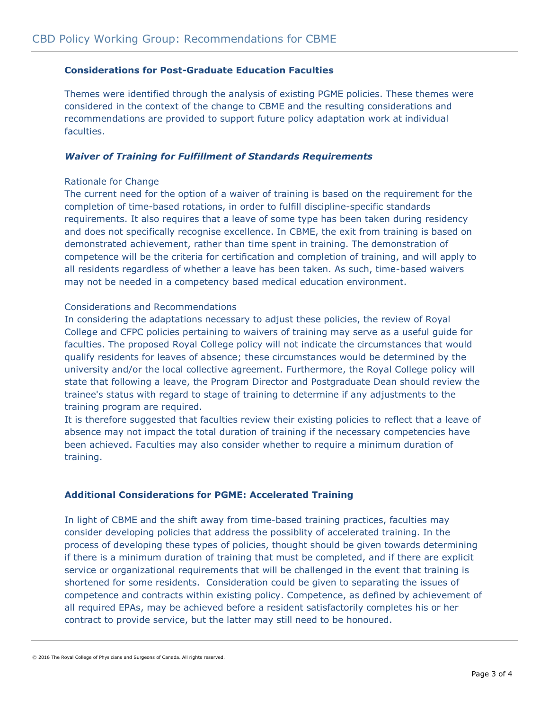### **Considerations for Post-Graduate Education Faculties**

Themes were identified through the analysis of existing PGME policies. These themes were considered in the context of the change to CBME and the resulting considerations and recommendations are provided to support future policy adaptation work at individual faculties.

### *Waiver of Training for Fulfillment of Standards Requirements*

#### Rationale for Change

The current need for the option of a waiver of training is based on the requirement for the completion of time-based rotations, in order to fulfill discipline-specific standards requirements. It also requires that a leave of some type has been taken during residency and does not specifically recognise excellence. In CBME, the exit from training is based on demonstrated achievement, rather than time spent in training. The demonstration of competence will be the criteria for certification and completion of training, and will apply to all residents regardless of whether a leave has been taken. As such, time-based waivers may not be needed in a competency based medical education environment.

#### Considerations and Recommendations

In considering the adaptations necessary to adjust these policies, the review of Royal College and CFPC policies pertaining to waivers of training may serve as a useful guide for faculties. The proposed Royal College policy will not indicate the circumstances that would qualify residents for leaves of absence; these circumstances would be determined by the university and/or the local collective agreement. Furthermore, the Royal College policy will state that following a leave, the Program Director and Postgraduate Dean should review the trainee's status with regard to stage of training to determine if any adjustments to the training program are required.

It is therefore suggested that faculties review their existing policies to reflect that a leave of absence may not impact the total duration of training if the necessary competencies have been achieved. Faculties may also consider whether to require a minimum duration of training.

# **Additional Considerations for PGME: Accelerated Training**

In light of CBME and the shift away from time-based training practices, faculties may consider developing policies that address the possiblity of accelerated training. In the process of developing these types of policies, thought should be given towards determining if there is a minimum duration of training that must be completed, and if there are explicit service or organizational requirements that will be challenged in the event that training is shortened for some residents. Consideration could be given to separating the issues of competence and contracts within existing policy. Competence, as defined by achievement of all required EPAs, may be achieved before a resident satisfactorily completes his or her contract to provide service, but the latter may still need to be honoured.